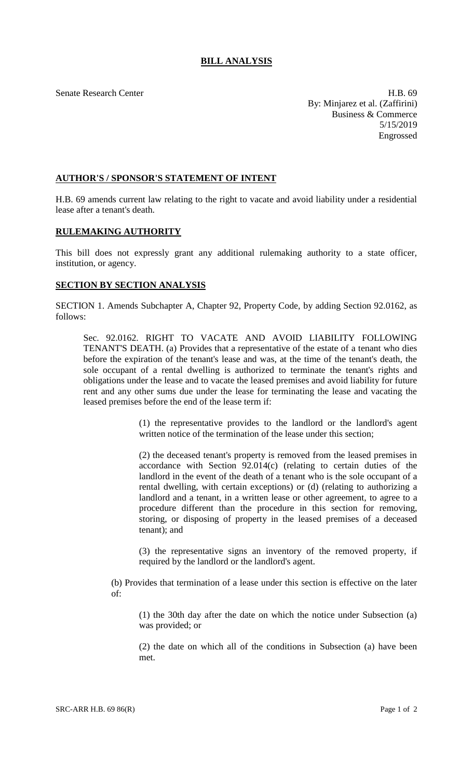Senate Research Center **H.B.** 69 By: Minjarez et al. (Zaffirini) Business & Commerce 5/15/2019 Engrossed

## **AUTHOR'S / SPONSOR'S STATEMENT OF INTENT**

H.B. 69 amends current law relating to the right to vacate and avoid liability under a residential lease after a tenant's death.

## **RULEMAKING AUTHORITY**

This bill does not expressly grant any additional rulemaking authority to a state officer, institution, or agency.

## **SECTION BY SECTION ANALYSIS**

SECTION 1. Amends Subchapter A, Chapter 92, Property Code, by adding Section 92.0162, as follows:

Sec. 92.0162. RIGHT TO VACATE AND AVOID LIABILITY FOLLOWING TENANT'S DEATH. (a) Provides that a representative of the estate of a tenant who dies before the expiration of the tenant's lease and was, at the time of the tenant's death, the sole occupant of a rental dwelling is authorized to terminate the tenant's rights and obligations under the lease and to vacate the leased premises and avoid liability for future rent and any other sums due under the lease for terminating the lease and vacating the leased premises before the end of the lease term if:

> (1) the representative provides to the landlord or the landlord's agent written notice of the termination of the lease under this section;

> (2) the deceased tenant's property is removed from the leased premises in accordance with Section 92.014(c) (relating to certain duties of the landlord in the event of the death of a tenant who is the sole occupant of a rental dwelling, with certain exceptions) or (d) (relating to authorizing a landlord and a tenant, in a written lease or other agreement, to agree to a procedure different than the procedure in this section for removing, storing, or disposing of property in the leased premises of a deceased tenant); and

> (3) the representative signs an inventory of the removed property, if required by the landlord or the landlord's agent.

(b) Provides that termination of a lease under this section is effective on the later of:

(1) the 30th day after the date on which the notice under Subsection (a) was provided; or

(2) the date on which all of the conditions in Subsection (a) have been met.